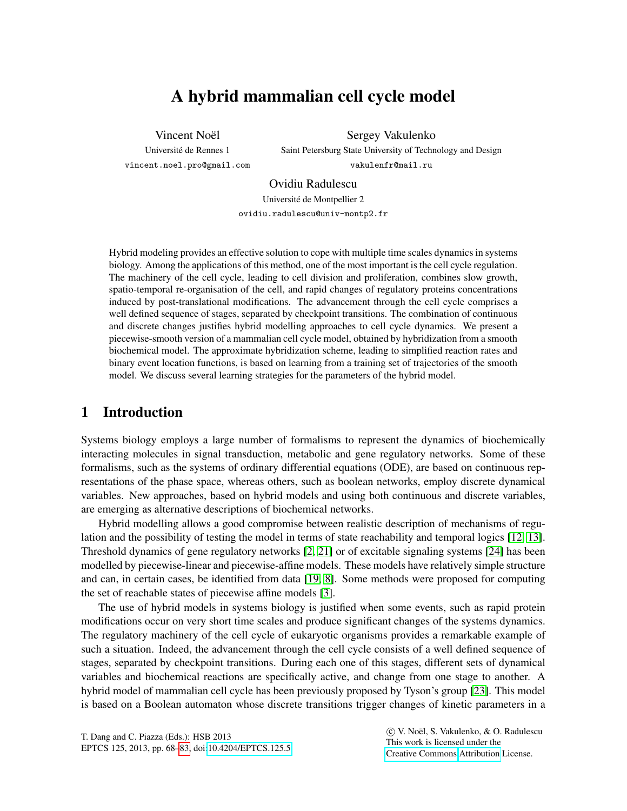# A hybrid mammalian cell cycle model

Vincent Noël

Universite de Rennes 1 ´ vincent.noel.pro@gmail.com

Sergey Vakulenko Saint Petersburg State University of Technology and Design vakulenfr@mail.ru

Ovidiu Radulescu

Universite de Montpellier 2 ´

ovidiu.radulescu@univ-montp2.fr

Hybrid modeling provides an effective solution to cope with multiple time scales dynamics in systems biology. Among the applications of this method, one of the most important is the cell cycle regulation. The machinery of the cell cycle, leading to cell division and proliferation, combines slow growth, spatio-temporal re-organisation of the cell, and rapid changes of regulatory proteins concentrations induced by post-translational modifications. The advancement through the cell cycle comprises a well defined sequence of stages, separated by checkpoint transitions. The combination of continuous and discrete changes justifies hybrid modelling approaches to cell cycle dynamics. We present a piecewise-smooth version of a mammalian cell cycle model, obtained by hybridization from a smooth biochemical model. The approximate hybridization scheme, leading to simplified reaction rates and binary event location functions, is based on learning from a training set of trajectories of the smooth model. We discuss several learning strategies for the parameters of the hybrid model.

# 1 Introduction

Systems biology employs a large number of formalisms to represent the dynamics of biochemically interacting molecules in signal transduction, metabolic and gene regulatory networks. Some of these formalisms, such as the systems of ordinary differential equations (ODE), are based on continuous representations of the phase space, whereas others, such as boolean networks, employ discrete dynamical variables. New approaches, based on hybrid models and using both continuous and discrete variables, are emerging as alternative descriptions of biochemical networks.

Hybrid modelling allows a good compromise between realistic description of mechanisms of regulation and the possibility of testing the model in terms of state reachability and temporal logics [\[12,](#page-14-0) [13\]](#page-14-1). Threshold dynamics of gene regulatory networks [\[2,](#page-13-0) [21\]](#page-14-2) or of excitable signaling systems [\[24\]](#page-15-1) has been modelled by piecewise-linear and piecewise-affine models. These models have relatively simple structure and can, in certain cases, be identified from data [\[19,](#page-14-3) [8\]](#page-14-4). Some methods were proposed for computing the set of reachable states of piecewise affine models [\[3\]](#page-13-1).

The use of hybrid models in systems biology is justified when some events, such as rapid protein modifications occur on very short time scales and produce significant changes of the systems dynamics. The regulatory machinery of the cell cycle of eukaryotic organisms provides a remarkable example of such a situation. Indeed, the advancement through the cell cycle consists of a well defined sequence of stages, separated by checkpoint transitions. During each one of this stages, different sets of dynamical variables and biochemical reactions are specifically active, and change from one stage to another. A hybrid model of mammalian cell cycle has been previously proposed by Tyson's group [\[23\]](#page-15-2). This model is based on a Boolean automaton whose discrete transitions trigger changes of kinetic parameters in a

 c V. Noel, S. Vakulenko, & O. Radulescu ¨ This work is licensed under the [Creative Commons](http://creativecommons.org) [Attribution](http://creativecommons.org/licenses/by/3.0/) License.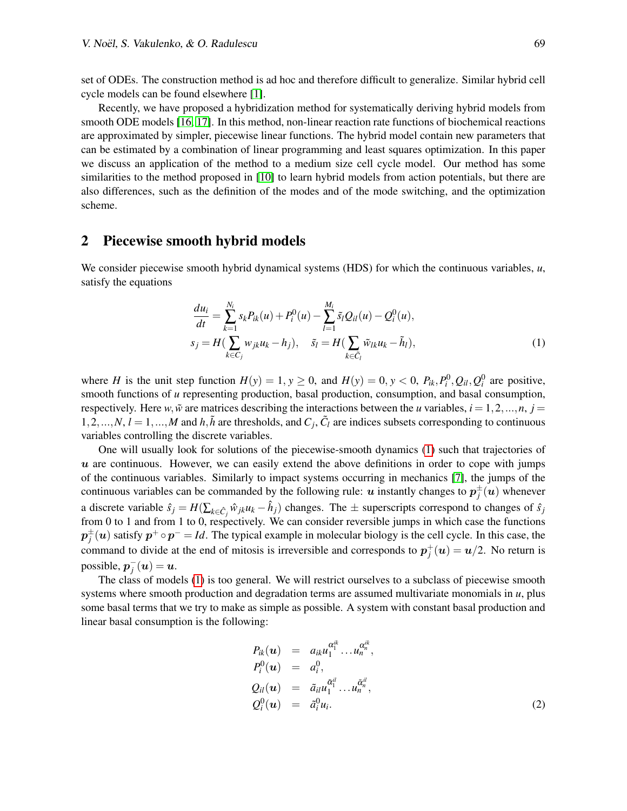set of ODEs. The construction method is ad hoc and therefore difficult to generalize. Similar hybrid cell cycle models can be found elsewhere [\[1\]](#page-13-2).

Recently, we have proposed a hybridization method for systematically deriving hybrid models from smooth ODE models [\[16,](#page-14-5) [17\]](#page-14-6). In this method, non-linear reaction rate functions of biochemical reactions are approximated by simpler, piecewise linear functions. The hybrid model contain new parameters that can be estimated by a combination of linear programming and least squares optimization. In this paper we discuss an application of the method to a medium size cell cycle model. Our method has some similarities to the method proposed in [\[10\]](#page-14-7) to learn hybrid models from action potentials, but there are also differences, such as the definition of the modes and of the mode switching, and the optimization scheme.

#### 2 Piecewise smooth hybrid models

We consider piecewise smooth hybrid dynamical systems (HDS) for which the continuous variables, *u*, satisfy the equations

<span id="page-1-0"></span>
$$
\frac{du_i}{dt} = \sum_{k=1}^{N_i} s_k P_{ik}(u) + P_i^0(u) - \sum_{l=1}^{M_i} \tilde{s}_l Q_{il}(u) - Q_i^0(u),
$$
  
\n
$$
s_j = H(\sum_{k \in C_j} w_{jk} u_k - h_j), \quad \tilde{s}_l = H(\sum_{k \in \tilde{C}_l} \tilde{w}_{lk} u_k - \tilde{h}_l),
$$
\n(1)

where *H* is the unit step function  $H(y) = 1, y \ge 0$ , and  $H(y) = 0, y < 0, P_{ik}, P_i^0, Q_{il}, Q_i^0$  are positive, smooth functions of *u* representing production, basal production, consumption, and basal consumption, respectively. Here *w*,  $\tilde{w}$  are matrices describing the interactions between the *u* variables,  $i = 1, 2, ..., n$ ,  $j =$  $1, 2, \ldots, N, l = 1, \ldots, M$  and  $h, \tilde{h}$  are thresholds, and  $C_j$ ,  $\tilde{C}_l$  are indices subsets corresponding to continuous variables controlling the discrete variables.

One will usually look for solutions of the piecewise-smooth dynamics [\(1\)](#page-1-0) such that trajectories of  $u$  are continuous. However, we can easily extend the above definitions in order to cope with jumps of the continuous variables. Similarly to impact systems occurring in mechanics [\[7\]](#page-14-8), the jumps of the continuous variables can be commanded by the following rule:  $u$  instantly changes to  $p_j^{\pm}(u)$  whenever a discrete variable  $\hat{s}_j = H(\sum_{k \in \hat{C}_j} \hat{w}_{jk} u_k - \hat{h}_j)$  changes. The  $\pm$  superscripts correspond to changes of  $\hat{s}_j$ from 0 to 1 and from 1 to 0, respectively. We can consider reversible jumps in which case the functions  $p_j^{\pm}(u)$  satisfy  $p^+ \circ p^- = Id$ . The typical example in molecular biology is the cell cycle. In this case, the command to divide at the end of mitosis is irreversible and corresponds to  $p_j^+(u) = u/2$ . No return is possible,  $p_j^-(u) = u$ .

The class of models [\(1\)](#page-1-0) is too general. We will restrict ourselves to a subclass of piecewise smooth systems where smooth production and degradation terms are assumed multivariate monomials in  $u$ , plus some basal terms that we try to make as simple as possible. A system with constant basal production and linear basal consumption is the following:

$$
P_{ik}(\boldsymbol{u}) = a_{ik}u_1^{\alpha_1^{ik}}\dots u_n^{\alpha_n^{ik}},
$$
  
\n
$$
P_i^0(\boldsymbol{u}) = a_i^0,
$$
  
\n
$$
Q_{il}(\boldsymbol{u}) = \tilde{a}_{il}u_1^{\tilde{\alpha}_1^{il}}\dots u_n^{\tilde{\alpha}_n^{il}},
$$
  
\n
$$
Q_i^0(\boldsymbol{u}) = \tilde{a}_i^0u_i.
$$
\n(2)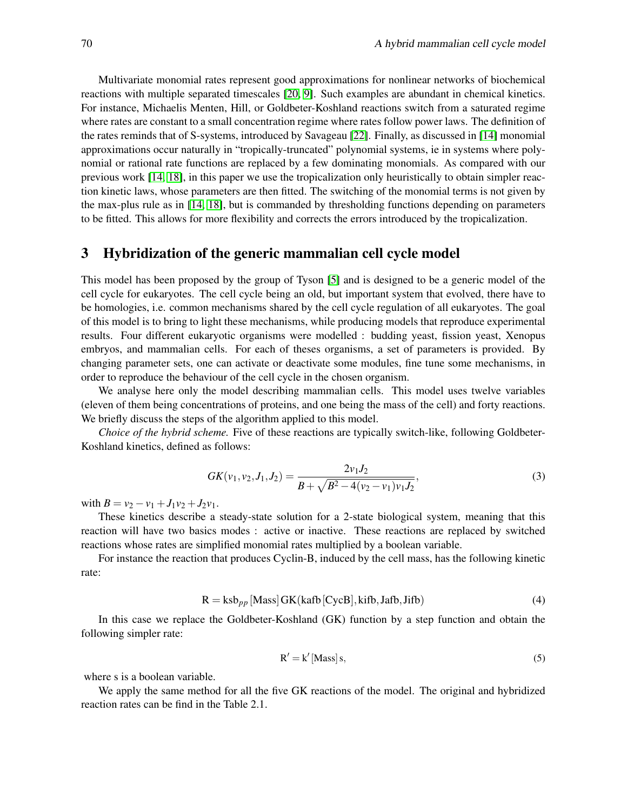Multivariate monomial rates represent good approximations for nonlinear networks of biochemical reactions with multiple separated timescales [\[20,](#page-14-9) [9\]](#page-14-10). Such examples are abundant in chemical kinetics. For instance, Michaelis Menten, Hill, or Goldbeter-Koshland reactions switch from a saturated regime where rates are constant to a small concentration regime where rates follow power laws. The definition of the rates reminds that of S-systems, introduced by Savageau [\[22\]](#page-15-3). Finally, as discussed in [\[14\]](#page-14-11) monomial approximations occur naturally in "tropically-truncated" polynomial systems, ie in systems where polynomial or rational rate functions are replaced by a few dominating monomials. As compared with our previous work [\[14,](#page-14-11) [18\]](#page-14-12), in this paper we use the tropicalization only heuristically to obtain simpler reaction kinetic laws, whose parameters are then fitted. The switching of the monomial terms is not given by the max-plus rule as in [\[14,](#page-14-11) [18\]](#page-14-12), but is commanded by thresholding functions depending on parameters to be fitted. This allows for more flexibility and corrects the errors introduced by the tropicalization.

#### 3 Hybridization of the generic mammalian cell cycle model

This model has been proposed by the group of Tyson [\[5\]](#page-14-13) and is designed to be a generic model of the cell cycle for eukaryotes. The cell cycle being an old, but important system that evolved, there have to be homologies, i.e. common mechanisms shared by the cell cycle regulation of all eukaryotes. The goal of this model is to bring to light these mechanisms, while producing models that reproduce experimental results. Four different eukaryotic organisms were modelled : budding yeast, fission yeast, Xenopus embryos, and mammalian cells. For each of theses organisms, a set of parameters is provided. By changing parameter sets, one can activate or deactivate some modules, fine tune some mechanisms, in order to reproduce the behaviour of the cell cycle in the chosen organism.

We analyse here only the model describing mammalian cells. This model uses twelve variables (eleven of them being concentrations of proteins, and one being the mass of the cell) and forty reactions. We briefly discuss the steps of the algorithm applied to this model.

*Choice of the hybrid scheme.* Five of these reactions are typically switch-like, following Goldbeter-Koshland kinetics, defined as follows:

$$
GK(v_1, v_2, J_1, J_2) = \frac{2v_1J_2}{B + \sqrt{B^2 - 4(v_2 - v_1)v_1J_2}},
$$
\n(3)

with  $B = v_2 - v_1 + J_1v_2 + J_2v_1$ .

These kinetics describe a steady-state solution for a 2-state biological system, meaning that this reaction will have two basics modes : active or inactive. These reactions are replaced by switched reactions whose rates are simplified monomial rates multiplied by a boolean variable.

For instance the reaction that produces Cyclin-B, induced by the cell mass, has the following kinetic rate:

$$
R = ksb_{pp} [Mass] GK(kafb [CycB], kifb, Jafb, Jifb)
$$
\n(4)

In this case we replace the Goldbeter-Koshland (GK) function by a step function and obtain the following simpler rate:

$$
R' = k' \left[ \text{Mass} \right] s,\tag{5}
$$

where s is a boolean variable.

We apply the same method for all the five GK reactions of the model. The original and hybridized reaction rates can be find in the Table 2.1.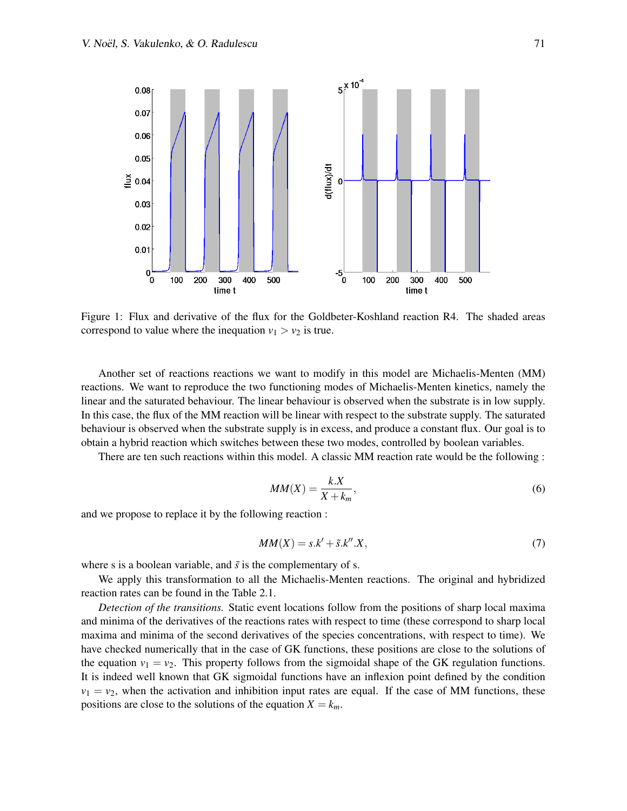

<span id="page-3-0"></span>Figure 1: Flux and derivative of the flux for the Goldbeter-Koshland reaction R4. The shaded areas correspond to value where the inequation  $v_1 > v_2$  is true.

Another set of reactions reactions we want to modify in this model are Michaelis-Menten (MM) reactions. We want to reproduce the two functioning modes of Michaelis-Menten kinetics, namely the linear and the saturated behaviour. The linear behaviour is observed when the substrate is in low supply. In this case, the flux of the MM reaction will be linear with respect to the substrate supply. The saturated behaviour is observed when the substrate supply is in excess, and produce a constant flux. Our goal is to obtain a hybrid reaction which switches between these two modes, controlled by boolean variables.

There are ten such reactions within this model. A classic MM reaction rate would be the following :

$$
MM(X) = \frac{k.X}{X + k_m},\tag{6}
$$

and we propose to replace it by the following reaction :

$$
MM(X) = s.k' + \tilde{s}.k''.X,\tag{7}
$$

where s is a boolean variable, and  $\tilde{s}$  is the complementary of s.

We apply this transformation to all the Michaelis-Menten reactions. The original and hybridized reaction rates can be found in the Table 2.1.

*Detection of the transitions.* Static event locations follow from the positions of sharp local maxima and minima of the derivatives of the reactions rates with respect to time (these correspond to sharp local maxima and minima of the second derivatives of the species concentrations, with respect to time). We have checked numerically that in the case of GK functions, these positions are close to the solutions of the equation  $v_1 = v_2$ . This property follows from the sigmoidal shape of the GK regulation functions. It is indeed well known that GK sigmoidal functions have an inflexion point defined by the condition  $v_1 = v_2$ , when the activation and inhibition input rates are equal. If the case of MM functions, these positions are close to the solutions of the equation  $X = k_m$ .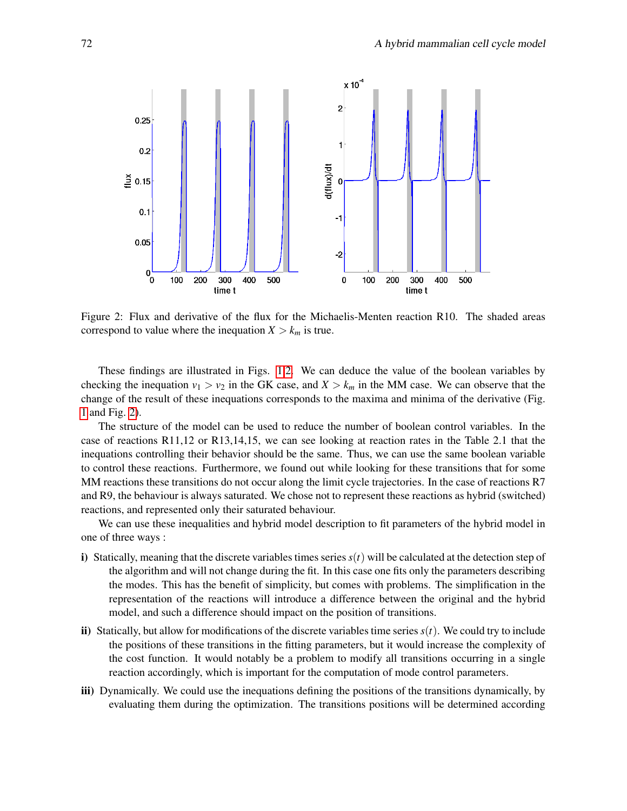

<span id="page-4-0"></span>Figure 2: Flux and derivative of the flux for the Michaelis-Menten reaction R10. The shaded areas correspond to value where the inequation  $X > k_m$  is true.

These findings are illustrated in Figs. [1,](#page-3-0)[2.](#page-4-0) We can deduce the value of the boolean variables by checking the inequation  $v_1 > v_2$  in the GK case, and  $X > k_m$  in the MM case. We can observe that the change of the result of these inequations corresponds to the maxima and minima of the derivative (Fig. [1](#page-3-0) and Fig. [2\)](#page-4-0).

The structure of the model can be used to reduce the number of boolean control variables. In the case of reactions R11,12 or R13,14,15, we can see looking at reaction rates in the Table 2.1 that the inequations controlling their behavior should be the same. Thus, we can use the same boolean variable to control these reactions. Furthermore, we found out while looking for these transitions that for some MM reactions these transitions do not occur along the limit cycle trajectories. In the case of reactions R7 and R9, the behaviour is always saturated. We chose not to represent these reactions as hybrid (switched) reactions, and represented only their saturated behaviour.

We can use these inequalities and hybrid model description to fit parameters of the hybrid model in one of three ways :

- i) Statically, meaning that the discrete variables times series  $s(t)$  will be calculated at the detection step of the algorithm and will not change during the fit. In this case one fits only the parameters describing the modes. This has the benefit of simplicity, but comes with problems. The simplification in the representation of the reactions will introduce a difference between the original and the hybrid model, and such a difference should impact on the position of transitions.
- ii) Statically, but allow for modifications of the discrete variables time series  $s(t)$ . We could try to include the positions of these transitions in the fitting parameters, but it would increase the complexity of the cost function. It would notably be a problem to modify all transitions occurring in a single reaction accordingly, which is important for the computation of mode control parameters.
- iii) Dynamically. We could use the inequations defining the positions of the transitions dynamically, by evaluating them during the optimization. The transitions positions will be determined according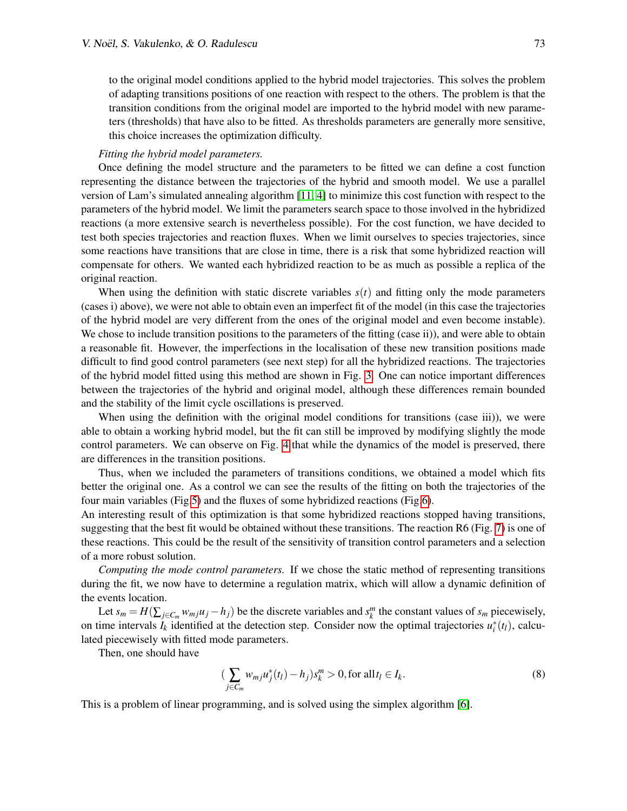to the original model conditions applied to the hybrid model trajectories. This solves the problem of adapting transitions positions of one reaction with respect to the others. The problem is that the transition conditions from the original model are imported to the hybrid model with new parameters (thresholds) that have also to be fitted. As thresholds parameters are generally more sensitive, this choice increases the optimization difficulty.

#### *Fitting the hybrid model parameters.*

Once defining the model structure and the parameters to be fitted we can define a cost function representing the distance between the trajectories of the hybrid and smooth model. We use a parallel version of Lam's simulated annealing algorithm [\[11,](#page-14-14) [4\]](#page-14-15) to minimize this cost function with respect to the parameters of the hybrid model. We limit the parameters search space to those involved in the hybridized reactions (a more extensive search is nevertheless possible). For the cost function, we have decided to test both species trajectories and reaction fluxes. When we limit ourselves to species trajectories, since some reactions have transitions that are close in time, there is a risk that some hybridized reaction will compensate for others. We wanted each hybridized reaction to be as much as possible a replica of the original reaction.

When using the definition with static discrete variables  $s(t)$  and fitting only the mode parameters (cases i) above), we were not able to obtain even an imperfect fit of the model (in this case the trajectories of the hybrid model are very different from the ones of the original model and even become instable). We chose to include transition positions to the parameters of the fitting (case ii)), and were able to obtain a reasonable fit. However, the imperfections in the localisation of these new transition positions made difficult to find good control parameters (see next step) for all the hybridized reactions. The trajectories of the hybrid model fitted using this method are shown in Fig. [3.](#page-6-0) One can notice important differences between the trajectories of the hybrid and original model, although these differences remain bounded and the stability of the limit cycle oscillations is preserved.

When using the definition with the original model conditions for transitions (case iii)), we were able to obtain a working hybrid model, but the fit can still be improved by modifying slightly the mode control parameters. We can observe on Fig. [4](#page-6-1) that while the dynamics of the model is preserved, there are differences in the transition positions.

Thus, when we included the parameters of transitions conditions, we obtained a model which fits better the original one. As a control we can see the results of the fitting on both the trajectories of the four main variables (Fig[.5\)](#page-7-0) and the fluxes of some hybridized reactions (Fig[.6\)](#page-7-1).

An interesting result of this optimization is that some hybridized reactions stopped having transitions, suggesting that the best fit would be obtained without these transitions. The reaction R6 (Fig. [7\)](#page-8-0) is one of these reactions. This could be the result of the sensitivity of transition control parameters and a selection of a more robust solution.

*Computing the mode control parameters.* If we chose the static method of representing transitions during the fit, we now have to determine a regulation matrix, which will allow a dynamic definition of the events location.

Let  $s_m = H(\sum_{j \in C_m} w_{mj}u_j - h_j)$  be the discrete variables and  $s_k^m$  the constant values of  $s_m$  piecewisely, on time intervals  $I_k$  identified at the detection step. Consider now the optimal trajectories  $u_i^*(t_l)$ , calculated piecewisely with fitted mode parameters.

Then, one should have

<span id="page-5-0"></span>
$$
\left(\sum_{j\in C_m} w_{mj}u_j^*(t_l) - h_j\right) s_k^m > 0, \text{ for all } t_l \in I_k. \tag{8}
$$

This is a problem of linear programming, and is solved using the simplex algorithm [\[6\]](#page-14-16).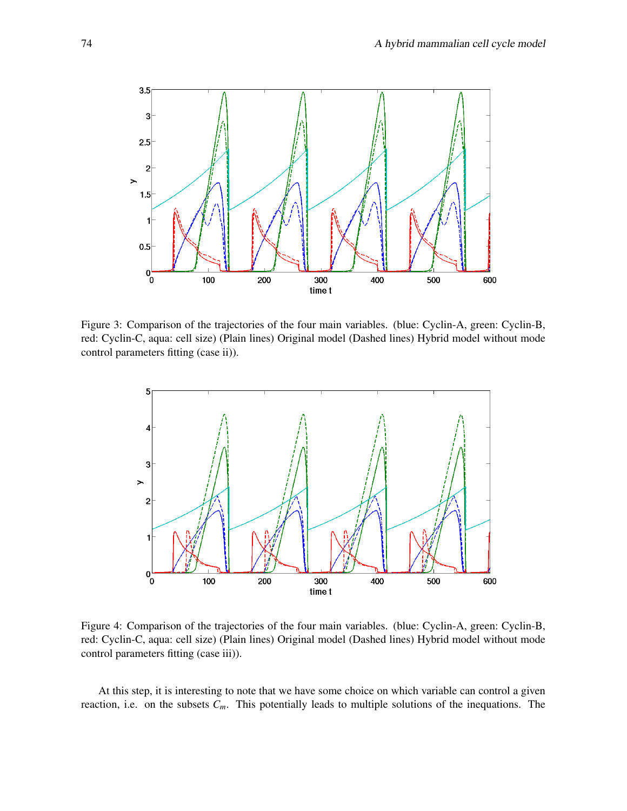

<span id="page-6-0"></span>Figure 3: Comparison of the trajectories of the four main variables. (blue: Cyclin-A, green: Cyclin-B, red: Cyclin-C, aqua: cell size) (Plain lines) Original model (Dashed lines) Hybrid model without mode control parameters fitting (case ii)).



<span id="page-6-1"></span>Figure 4: Comparison of the trajectories of the four main variables. (blue: Cyclin-A, green: Cyclin-B, red: Cyclin-C, aqua: cell size) (Plain lines) Original model (Dashed lines) Hybrid model without mode control parameters fitting (case iii)).

At this step, it is interesting to note that we have some choice on which variable can control a given reaction, i.e. on the subsets  $C_m$ . This potentially leads to multiple solutions of the inequations. The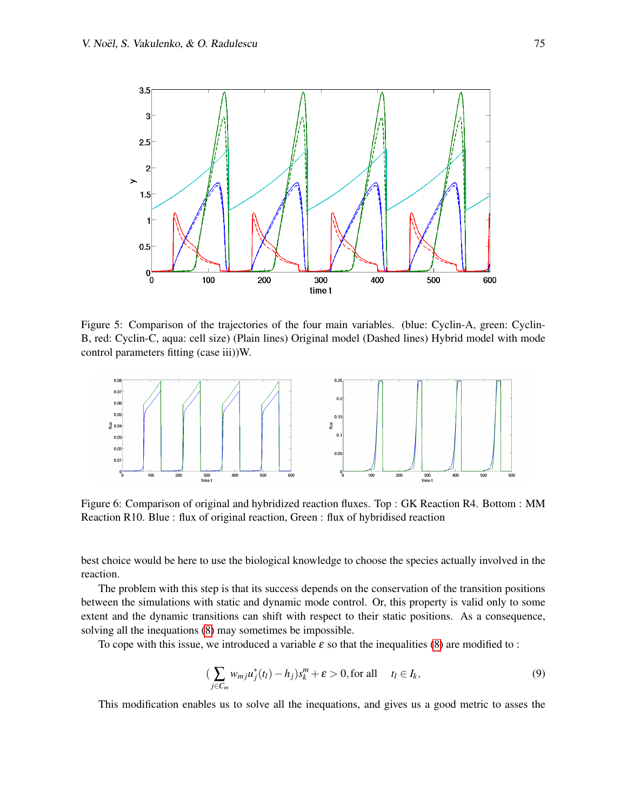

<span id="page-7-0"></span>Figure 5: Comparison of the trajectories of the four main variables. (blue: Cyclin-A, green: Cyclin-B, red: Cyclin-C, aqua: cell size) (Plain lines) Original model (Dashed lines) Hybrid model with mode control parameters fitting (case iii))W.



<span id="page-7-1"></span>Figure 6: Comparison of original and hybridized reaction fluxes. Top : GK Reaction R4. Bottom : MM Reaction R10. Blue : flux of original reaction, Green : flux of hybridised reaction

best choice would be here to use the biological knowledge to choose the species actually involved in the reaction.

The problem with this step is that its success depends on the conservation of the transition positions between the simulations with static and dynamic mode control. Or, this property is valid only to some extent and the dynamic transitions can shift with respect to their static positions. As a consequence, solving all the inequations [\(8\)](#page-5-0) may sometimes be impossible.

To cope with this issue, we introduced a variable  $\varepsilon$  so that the inequalities [\(8\)](#page-5-0) are modified to :

$$
\left(\sum_{j\in C_m} w_{mj}u_j^*(t_l) - h_j\right) s_k^m + \varepsilon > 0, \text{for all } t_l \in I_k,\tag{9}
$$

This modification enables us to solve all the inequations, and gives us a good metric to asses the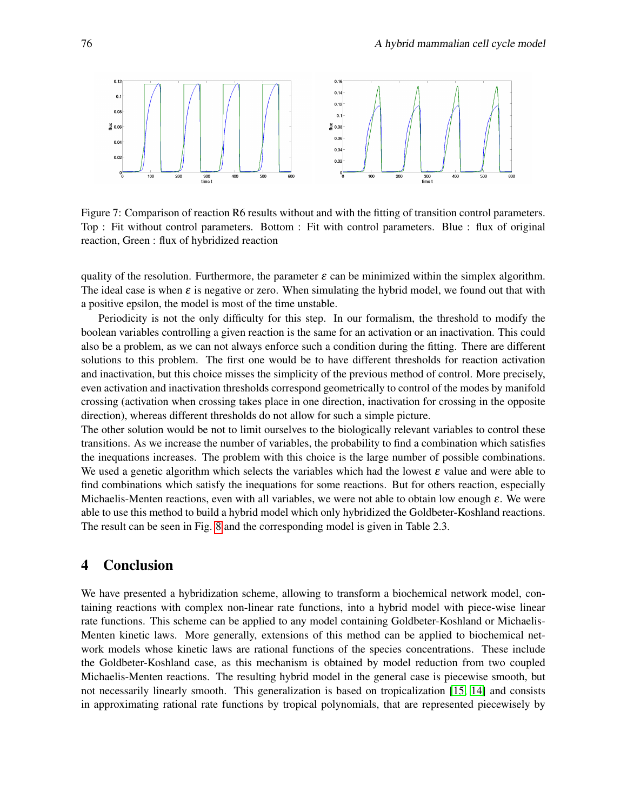

<span id="page-8-0"></span>Figure 7: Comparison of reaction R6 results without and with the fitting of transition control parameters. Top : Fit without control parameters. Bottom : Fit with control parameters. Blue : flux of original reaction, Green : flux of hybridized reaction

quality of the resolution. Furthermore, the parameter  $\varepsilon$  can be minimized within the simplex algorithm. The ideal case is when  $\varepsilon$  is negative or zero. When simulating the hybrid model, we found out that with a positive epsilon, the model is most of the time unstable.

Periodicity is not the only difficulty for this step. In our formalism, the threshold to modify the boolean variables controlling a given reaction is the same for an activation or an inactivation. This could also be a problem, as we can not always enforce such a condition during the fitting. There are different solutions to this problem. The first one would be to have different thresholds for reaction activation and inactivation, but this choice misses the simplicity of the previous method of control. More precisely, even activation and inactivation thresholds correspond geometrically to control of the modes by manifold crossing (activation when crossing takes place in one direction, inactivation for crossing in the opposite direction), whereas different thresholds do not allow for such a simple picture.

The other solution would be not to limit ourselves to the biologically relevant variables to control these transitions. As we increase the number of variables, the probability to find a combination which satisfies the inequations increases. The problem with this choice is the large number of possible combinations. We used a genetic algorithm which selects the variables which had the lowest  $\varepsilon$  value and were able to find combinations which satisfy the inequations for some reactions. But for others reaction, especially Michaelis-Menten reactions, even with all variables, we were not able to obtain low enough  $\varepsilon$ . We were able to use this method to build a hybrid model which only hybridized the Goldbeter-Koshland reactions. The result can be seen in Fig. [8](#page-9-0) and the corresponding model is given in Table 2.3.

### 4 Conclusion

We have presented a hybridization scheme, allowing to transform a biochemical network model, containing reactions with complex non-linear rate functions, into a hybrid model with piece-wise linear rate functions. This scheme can be applied to any model containing Goldbeter-Koshland or Michaelis-Menten kinetic laws. More generally, extensions of this method can be applied to biochemical network models whose kinetic laws are rational functions of the species concentrations. These include the Goldbeter-Koshland case, as this mechanism is obtained by model reduction from two coupled Michaelis-Menten reactions. The resulting hybrid model in the general case is piecewise smooth, but not necessarily linearly smooth. This generalization is based on tropicalization [\[15,](#page-14-17) [14\]](#page-14-11) and consists in approximating rational rate functions by tropical polynomials, that are represented piecewisely by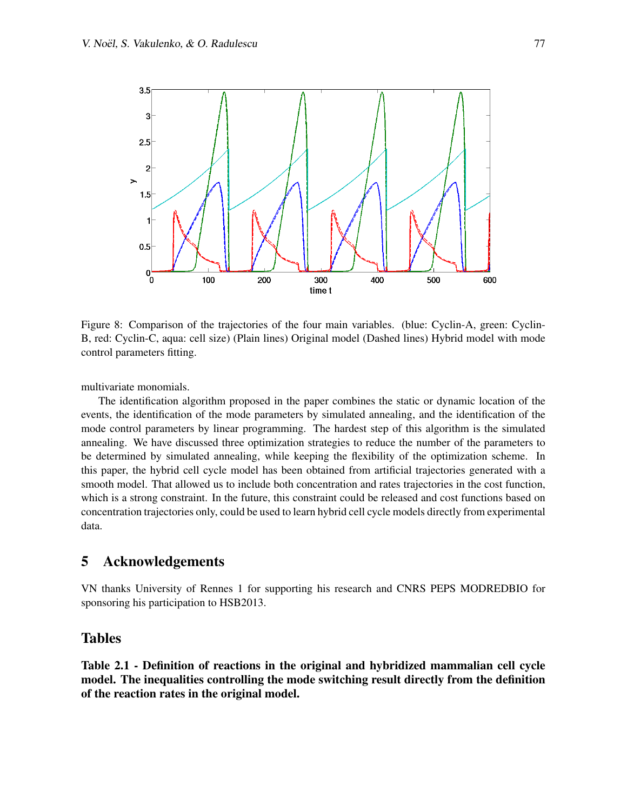

<span id="page-9-0"></span>Figure 8: Comparison of the trajectories of the four main variables. (blue: Cyclin-A, green: Cyclin-B, red: Cyclin-C, aqua: cell size) (Plain lines) Original model (Dashed lines) Hybrid model with mode control parameters fitting.

multivariate monomials.

The identification algorithm proposed in the paper combines the static or dynamic location of the events, the identification of the mode parameters by simulated annealing, and the identification of the mode control parameters by linear programming. The hardest step of this algorithm is the simulated annealing. We have discussed three optimization strategies to reduce the number of the parameters to be determined by simulated annealing, while keeping the flexibility of the optimization scheme. In this paper, the hybrid cell cycle model has been obtained from artificial trajectories generated with a smooth model. That allowed us to include both concentration and rates trajectories in the cost function, which is a strong constraint. In the future, this constraint could be released and cost functions based on concentration trajectories only, could be used to learn hybrid cell cycle models directly from experimental data.

### 5 Acknowledgements

VN thanks University of Rennes 1 for supporting his research and CNRS PEPS MODREDBIO for sponsoring his participation to HSB2013.

### Tables

Table 2.1 - Definition of reactions in the original and hybridized mammalian cell cycle model. The inequalities controlling the mode switching result directly from the definition of the reaction rates in the original model.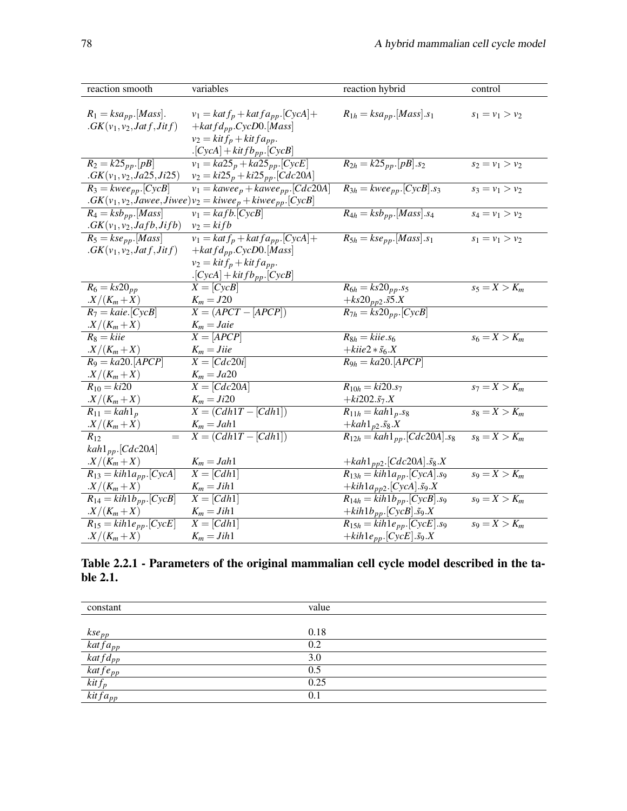| reaction smooth                                         | variables                                                                                 | reaction hybrid                                  | control           |
|---------------------------------------------------------|-------------------------------------------------------------------------------------------|--------------------------------------------------|-------------------|
| $R_1 = ksa_{pp}.[Mass].$<br>$GK(v_1, v_2, Jatf, Jitf)$  | $v_1 = kat f_p + kat f a_{pp}.[CycA] +$<br>$+katfd_{pp}.CycD0.[Mass]$                     | $R_{1h} = ksa_{pp}.[Mass].s_1$                   | $s_1 = v_1 > v_2$ |
|                                                         | $v_2 = k$ it $f_p + k$ it $fa_{pp}$ .<br>$\cdot$ [CycA] + kit f b <sub>pp</sub> .[CycB]   |                                                  |                   |
| $R_2 = k25_{pp} [pB]$<br>$.GK(v_1, v_2, Ja25, Ji25)$    | $v_1 = ka25_p + ka25_{pp}.[CycE]$<br>$v_2 = ki25_p + ki25_{pp}.[Cdc20A]$                  | $R_{2h} = k25_{pp} [pB] .s_2$                    | $s_2 = v_1 > v_2$ |
| $R_3 = \overline{kwee_{pp}.[CycB]}$                     | $v_1 = kawee_p + kawee_{pp}.[Cdc20A]$                                                     | $R_{3h} = kwe e_{pp}.[CycB].s_3$                 | $s_3 = v_1 > v_2$ |
|                                                         | $GK(v_1, v_2, \text{Jawee}, \text{Jiwee})v_2 = \text{kiwe}e_p + \text{kiwe}e_{pp}.[CycB]$ |                                                  |                   |
| $R_4 = ksb_{pp}.[Mass]$<br>$. GK(v_1, v_2, Jafb, Jifb)$ | $v_1 = kafb.$ [CycB]<br>$v_2 = kifb$                                                      | $R_{4h} = ksb_{pp}.[Mass].s_4$                   | $s_4 = v_1 > v_2$ |
| $R_5 = kse_{pp}.[Mass]$                                 | $v_1 = kat f_p + kat f a_{pp}.[CycA] +$                                                   | $R_{5h} = kse_{pp}.[Mass].s_1$                   | $s_1 = v_1 > v_2$ |
| $GK(v_1, v_2, Jatf, Jitf)$                              | $+katfd_{pp}.CycD0.[Mass]$                                                                |                                                  |                   |
|                                                         | $v_2 = k$ it $f_p + k$ it $f a_{pp}$ .                                                    |                                                  |                   |
|                                                         | $\cdot$ [CycA] + kit f b <sub>pp</sub> $\cdot$ [CycB]                                     |                                                  |                   |
| $R_6 = ks20_{pp}$                                       | $X = [CycB]$                                                                              | $R_{6h} = ks20_{pp}.s_5$                         | $s_5 = X > K_m$   |
| $X/(K_m+X)$                                             | $K_m = J20$                                                                               | + $ks20_{pp2}.55.X$                              |                   |
| $R_7 = \text{kaie.}[\text{CycB}]$                       | $X = \overline{(APCT - [APCP])}$                                                          | $R_{7h} = ks20_{pp}.[CycB]$                      |                   |
| $X/(K_m+X)$                                             | $K_m = \text{J}aie$                                                                       |                                                  |                   |
| $R_8 = kii$ e                                           | $X = [APCP]$                                                                              | $R_{8h} = kile.s_6$                              | $s_6 = X > K_m$   |
| $X/(K_m+X)$                                             | $K_m = Jii$ e                                                                             | $+kiie2*\tilde{s}_6.X$                           |                   |
| $R_9 = ka20. [APCP]$                                    | $X = [Cdc20i]$                                                                            | $R_{9h} = ka20. [APCP]$                          |                   |
| $X/(K_m+X)$                                             | $K_m = Ja20$                                                                              |                                                  |                   |
| $R_{10} = ki20$                                         | $X = [Cdc20A]$                                                                            | $R_{10h} = ki20.s7$                              | $s_7 = X > K_m$   |
| $X/(K_m+X)$                                             | $K_m = Ji20$                                                                              | + $ki202.\tilde{s}_7.X$                          |                   |
| $R_{11} = kah1_p$                                       | $X = (Cdh1T - [Cdh1])$                                                                    | $R_{11h} = kah1_p.s_8$                           | $s_8 = X > K_m$   |
| $X/(K_m+X)$                                             | $K_m = Jah1$                                                                              | $+kah1_{p2}.\tilde{s}_8.X$                       |                   |
| $R_{12}$<br>$=$                                         | $X = (Cdh1T - [Cdh1])$                                                                    | $R_{12h} = kah1_{pp}.[Cdc20A].s_8$               | $s_8 = X > K_m$   |
| $kah1_{pp}.[Cdc20A]$                                    |                                                                                           |                                                  |                   |
| $X/(K_m+X)$                                             | $K_m = Jah1$                                                                              | +kah1 <sub>pp2</sub> .[Cdc20A]. $\tilde{s}_8$ .X |                   |
| $R_{13} = kih1a_{pp}.[CycA]$                            | $X = [Cdh1]$                                                                              | $R_{13h} = kih1a_{pp}$ . [CycA]. s9              | $s_9 = X > K_m$   |
| $X/(K_m+X)$                                             | $K_m = Jih1$                                                                              | + $kih1a_{pp2}$ .[CycA]. $\tilde{s}_9$ .X        | $s_9 = X > K_m$   |
| $R_{14} = kih1b_{pp}.[CycB]$                            | $X=[Cdh1]$                                                                                | $R_{14h} = kih1b_{pp}.[CycB].s_9$                |                   |
| $X/(K_m+X)$                                             | $K_m = Jih1$                                                                              | + $kih1b_{pp}$ .[CycB]. $\tilde{s}_9$ .X         |                   |
| $R_{15} = kih1e_{pp}.[CycE]$                            | $X=[Cdh1]$                                                                                | $R_{15h} = kih1e_{pp}.[CycE].s_9$                | $s_9 = X > K_m$   |
| $X/(K_m+X)$                                             | $K_m = Jih1$                                                                              | + $kih1e_{pp}$ .[CycE]. $\tilde{s}_9$ .X         |                   |

Table 2.2.1 - Parameters of the original mammalian cell cycle model described in the table 2.1.

| value |
|-------|
|       |
| 0.18  |
| 0.2   |
| 3.0   |
| 0.5   |
| 0.25  |
| 0.1   |
|       |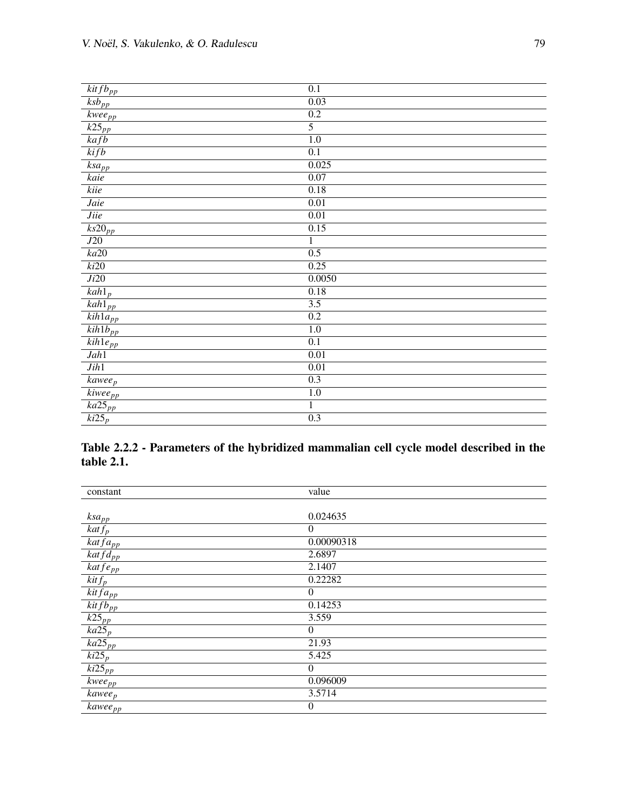| $k$ it f $b_{pp}$                 | 0.1               |
|-----------------------------------|-------------------|
| $\overline{ksb_{pp}}$             | 0.03              |
| $\overline{kwee_{pp}}$            | 0.2               |
| $\overline{k25}_{\underline{pp}}$ | $\overline{5}$    |
| $k$ afb                           | $\overline{1.0}$  |
| kifb                              | $\overline{0.1}$  |
| $\overline{ksa}_{pp}$             | 0.025             |
| kaie                              | 0.07              |
| kiie                              | 0.18              |
| Jaie                              | 0.01              |
| <i>Jiie</i>                       | $\overline{0.01}$ |
| $\overline{ks20}_{pp}$            | 0.15              |
| J20                               | $\mathbf{1}$      |
| ka20                              | 0.5               |
| ki20                              | 0.25              |
| Ji20                              | 0.0050            |
| $\overline{kah1}_p$               | 0.18              |
| $\overline{kah}1_{pp}$            | $\overline{3.5}$  |
| $\overline{kih1a_{pp}}$           | 0.2               |
| $\overline{kih1b_{pp}}$           | 1.0               |
| $\overline{kih1e_{pp}}$           | $\overline{0.1}$  |
| Jah1                              | 0.01              |
| Jih1                              | 0.01              |
| $kawee_p$                         | 0.3               |
| $\overline{kive}$ e <sub>pp</sub> | 1.0               |
| $\overline{ka25_{pp}}$            | $\mathbf{1}$      |
| $\overline{ki25}_p$               | $\overline{0.3}$  |

## Table 2.2.2 - Parameters of the hybridized mammalian cell cycle model described in the table 2.1.

| constant                                        | value          |
|-------------------------------------------------|----------------|
|                                                 |                |
| ksa <sub>pp</sub>                               | 0.024635       |
| $k$ at $f_p$                                    | $\Omega$       |
| $\overline{katfa_{pp}}$                         | 0.00090318     |
| $katfd_{pp}$                                    | 2.6897         |
| $k$ at $f$ e <sub>pp</sub>                      | 2.1407         |
| $\overline{k}$ it $f_p$                         | 0.22282        |
| $\overline{kitfa_{pp}}$                         | $\theta$       |
| $k$ it f $b_{pp}$                               | 0.14253        |
| $k25_{pp}$                                      | 3.559          |
| $k a 25_p$                                      | $\mathbf{0}$   |
| $\overline{k\alpha25}_{pp}$                     | 21.93          |
| $ki25_p$                                        | 5.425          |
| $\overline{k}$ <i>i</i> 25 <sub><i>pp</i></sub> | $\mathbf{0}$   |
| $kwee_{pp}$                                     | 0.096009       |
| $kawee_p$                                       | 3.5714         |
| <i>kawee<sub>pp</sub></i>                       | $\overline{0}$ |
|                                                 |                |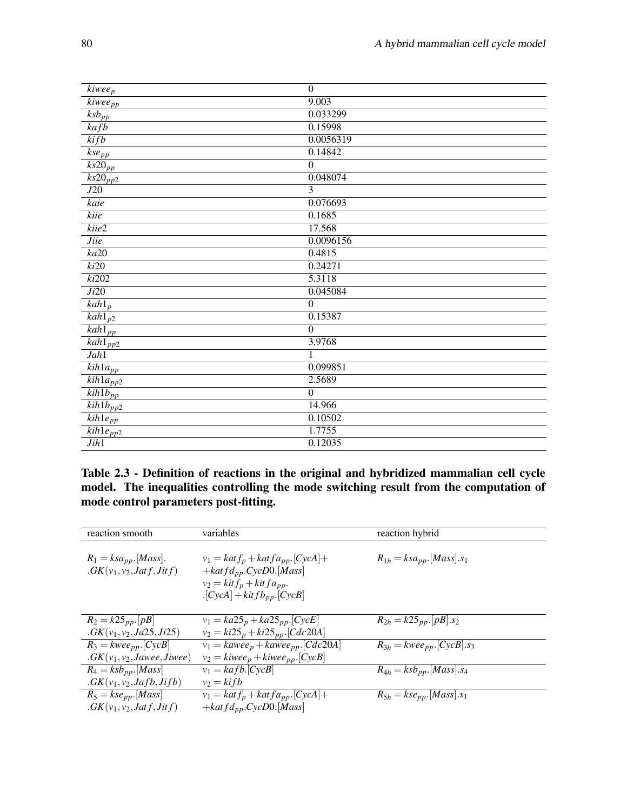| $\overline{k}$ iwee <sub>p</sub>   | $\boldsymbol{0}$ |
|------------------------------------|------------------|
| $\overline{kive}$ e <sub>pp</sub>  | 9.003            |
| $\overline{ksb}_{pp}$              | 0.033299         |
| $k$ afb                            | 0.15998          |
| kifb                               | 0.0056319        |
| $\overline{kse_{\rho p}}$          | 0.14842          |
| $\overline{ks20_{pp}}$             | $\overline{0}$   |
| $\overline{ks20_{pp2}}$            | 0.048074         |
| J20                                | 3                |
| kaie                               | 0.076693         |
| kiie                               | 0.1685           |
| kiie2                              | 17.568           |
| <b>Jiie</b>                        | 0.0096156        |
| $k$ a20                            | 0.4815           |
| ki20                               | 0.24271          |
| ki202                              | 5.3118           |
| Ji20                               | 0.045084         |
| $kah1_p$                           | $\overline{0}$   |
| $\overline{kah1}_{p2}$             | 0.15387          |
| $\overline{kah1}_{pp}$             | $\overline{0}$   |
| $\overline{kah1_{pp2}}$            | 3.9768           |
| Jah1                               | 1                |
| $\overline{kih1a}_{pp}$            | 0.099851         |
| $\overline{kih}$ la <sub>pp2</sub> | 2.5689           |
| $\overline{kih1b_{pp}}$            | $\overline{0}$   |
| $kih1b_{pp2}$                      | 14.966           |
| $\overline{kih1e_{pp}}$            | 0.10502          |
| $\overline{kih}$ le <sub>pp2</sub> | 1.7755           |
| Jih1                               | 0.12035          |
|                                    |                  |

Table 2.3 - Definition of reactions in the original and hybridized mammalian cell cycle model. The inequalities controlling the mode switching result from the computation of mode control parameters post-fitting.

| reaction smooth                                             | variables                                             | reaction hybrid                 |
|-------------------------------------------------------------|-------------------------------------------------------|---------------------------------|
|                                                             |                                                       |                                 |
| $R_1 = ksa_{pp}.[Mass].$                                    | $v_1 = kat f_p + kat f a_{pp}.[CycA] +$               | $R_{1h} = ksa_{pp}.[Mass].s_1$  |
| $GK(v_1, v_2, Jatf, Jitf)$                                  | $+katfd_{pp}.CycD0.[Mass]$                            |                                 |
|                                                             | $v_2 = k$ it $f_p + k$ it $fa_{pp}$ .                 |                                 |
|                                                             |                                                       |                                 |
|                                                             | $\cdot$ [CycA] + kit f b <sub>pp</sub> $\cdot$ [CycB] |                                 |
|                                                             |                                                       |                                 |
| $R_2 = k25_{pp}$ . [pB]                                     | $v_1 = ka25_p + ka25_{pp}$ . [CycE]                   | $R_{2h} = k25_{pp} [pB] .s_2$   |
| $.$ <i>GK</i> ( $v_1$ , $v_2$ , <i>Ja</i> 25, <i>Ji</i> 25) | $v_2 = ki25_p + ki25_{pp}.[Cdc20A]$                   |                                 |
| $R_3 = kwee_{pp}$ . $\boxed{CycB}$                          | $v_1 = kawee_p + kawee_{pp}.[Cdc20A]$                 | $R_{3h} = kwee_{pp}.[CycB].s_3$ |
| $.$ GK( $v_1, v_2,$ Jawee, Jiwee)                           | $v_2 = k iwe e_p + k iwe e_{pp}.[CycB]$               |                                 |
| $R_4 = ksb_{pp}.[Mass]$                                     | $v_1 = kafb.[\overline{CycB}]$                        | $R_{4h} = ksb_{pp}.[Mass].s_4$  |
| $. GK(v_1, v_2, Jafb, Jifb)$                                | $v_2 = kifb$                                          |                                 |
| $R_5 = kse_{pp}.[Mass]$                                     | $v_1 = kat f_p + kat f a_{pp}.[CycA] +$               | $R_{5h} = kse_{pp}.[Mass].s_1$  |
| $GK(v_1, v_2, Jatf, Jitf)$                                  | + $k$ at $fd_{pp}$ .CycD0.[Mass]                      |                                 |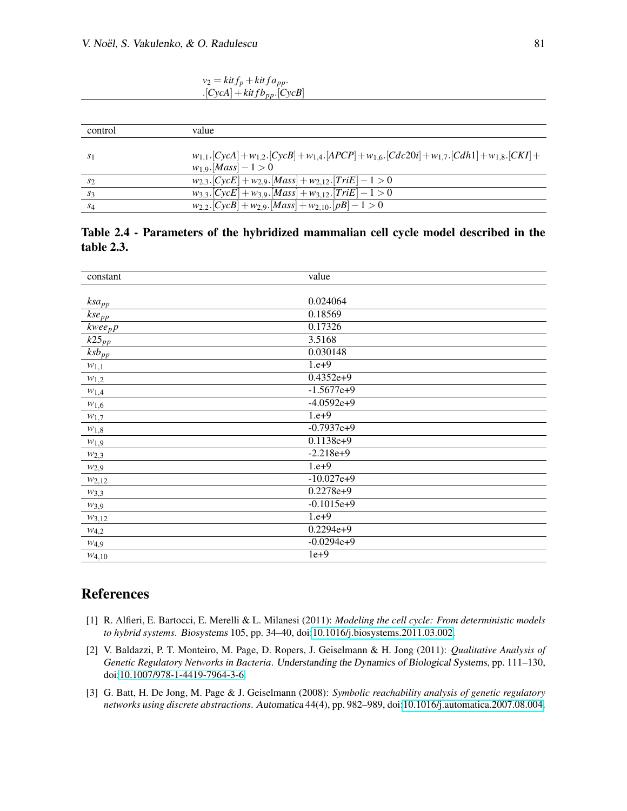$v_2 = k$ *it*  $f_p + k$ *it*  $f a_{pp}$ .  $\cdot$ [*CycA*] + *kit f b*<sub>pp</sub>.[*CycB*]

| control<br>value                                                                                                                                                                |  |
|---------------------------------------------------------------------------------------------------------------------------------------------------------------------------------|--|
| $w_{1,1}$ . $[CycA] + w_{1,2}$ . $[CycB] + w_{1,4}$ . $[APCP] + w_{1,6}$ . $[Cdc20i] + w_{1,7}$ . $[Cdh1] + w_{1,8}$ . $[CKI] +$<br>S <sub>1</sub><br>$w_1$ 9. $[Mass] - 1 > 0$ |  |
| $w_{2,3}$ . [CycE] + $w_{2,9}$ . [Mass] + $w_{2,12}$ . [TriE] - 1 > 0<br>$s_2$                                                                                                  |  |
| $w_{3,3}.[CycE] + w_{3,9}.[Mass] + w_{3,12}.[TriE] - 1 > 0$<br>$s_3$                                                                                                            |  |
| $w_{2,2}$ . [CycB] + $w_{2,9}$ . [Mass] + $w_{2,10}$ . [pB] - 1 > 0<br>$S_4$                                                                                                    |  |

Table 2.4 - Parameters of the hybridized mammalian cell cycle model described in the table 2.3.

| 0.024064<br>$ksa_{pp}$<br>$\overline{k}$ se <sub>pp</sub><br>0.18569<br>0.17326<br>kweepp<br>3.5168<br>$\overline{k25}_{pp}$<br>0.030148<br>$\overline{ksb}_{pp}$<br>$1.e+9$<br>$w_{1,1}$<br>$0.4352e+9$<br>$w_{1,2}$<br>$-1.5677e+9$<br>$w_{1,4}$<br>$-4.0592e+9$<br>$w_{1,6}$<br>$1.e+9$<br>$w_{1,7}$<br>$-0.7937e+9$<br>$w_{1,8}$<br>$0.1138e+9$<br>$w_{1,9}$<br>$-2.218e+9$<br>$W_{2,3}$<br>$1.e+9$<br>$w_{2,9}$<br>$-10.027e+9$<br>$W_{2,12}$<br>$0.2278e+9$<br>$W_{3,3}$<br>$-0.1015e+9$<br>$w_{3,9}$<br>$1.e+9$<br>$W_{3,12}$<br>$0.2294e+9$<br>$W_{4,2}$<br>$-0.0294e+9$<br>$w_{4,9}$<br>$1e+9$<br>$W_{4,10}$ | constant | value |
|-----------------------------------------------------------------------------------------------------------------------------------------------------------------------------------------------------------------------------------------------------------------------------------------------------------------------------------------------------------------------------------------------------------------------------------------------------------------------------------------------------------------------------------------------------------------------------------------------------------------------|----------|-------|
|                                                                                                                                                                                                                                                                                                                                                                                                                                                                                                                                                                                                                       |          |       |
|                                                                                                                                                                                                                                                                                                                                                                                                                                                                                                                                                                                                                       |          |       |
|                                                                                                                                                                                                                                                                                                                                                                                                                                                                                                                                                                                                                       |          |       |
|                                                                                                                                                                                                                                                                                                                                                                                                                                                                                                                                                                                                                       |          |       |
|                                                                                                                                                                                                                                                                                                                                                                                                                                                                                                                                                                                                                       |          |       |
|                                                                                                                                                                                                                                                                                                                                                                                                                                                                                                                                                                                                                       |          |       |
|                                                                                                                                                                                                                                                                                                                                                                                                                                                                                                                                                                                                                       |          |       |
|                                                                                                                                                                                                                                                                                                                                                                                                                                                                                                                                                                                                                       |          |       |
|                                                                                                                                                                                                                                                                                                                                                                                                                                                                                                                                                                                                                       |          |       |
|                                                                                                                                                                                                                                                                                                                                                                                                                                                                                                                                                                                                                       |          |       |
|                                                                                                                                                                                                                                                                                                                                                                                                                                                                                                                                                                                                                       |          |       |
|                                                                                                                                                                                                                                                                                                                                                                                                                                                                                                                                                                                                                       |          |       |
|                                                                                                                                                                                                                                                                                                                                                                                                                                                                                                                                                                                                                       |          |       |
|                                                                                                                                                                                                                                                                                                                                                                                                                                                                                                                                                                                                                       |          |       |
|                                                                                                                                                                                                                                                                                                                                                                                                                                                                                                                                                                                                                       |          |       |
|                                                                                                                                                                                                                                                                                                                                                                                                                                                                                                                                                                                                                       |          |       |
|                                                                                                                                                                                                                                                                                                                                                                                                                                                                                                                                                                                                                       |          |       |
|                                                                                                                                                                                                                                                                                                                                                                                                                                                                                                                                                                                                                       |          |       |
|                                                                                                                                                                                                                                                                                                                                                                                                                                                                                                                                                                                                                       |          |       |
|                                                                                                                                                                                                                                                                                                                                                                                                                                                                                                                                                                                                                       |          |       |
|                                                                                                                                                                                                                                                                                                                                                                                                                                                                                                                                                                                                                       |          |       |
|                                                                                                                                                                                                                                                                                                                                                                                                                                                                                                                                                                                                                       |          |       |

# References

- <span id="page-13-2"></span>[1] R. Alfieri, E. Bartocci, E. Merelli & L. Milanesi (2011): *Modeling the cell cycle: From deterministic models to hybrid systems*. Biosystems 105, pp. 34–40, doi[:10.1016/j.biosystems.2011.03.002.](http://dx.doi.org/10.1016/j.biosystems.2011.03.002)
- <span id="page-13-0"></span>[2] V. Baldazzi, P. T. Monteiro, M. Page, D. Ropers, J. Geiselmann & H. Jong (2011): *Qualitative Analysis of Genetic Regulatory Networks in Bacteria*. Understanding the Dynamics of Biological Systems, pp. 111–130, doi[:10.1007/978-1-4419-7964-3-6.](http://dx.doi.org/10.1007/978-1-4419-7964-3-6)
- <span id="page-13-1"></span>[3] G. Batt, H. De Jong, M. Page & J. Geiselmann (2008): *Symbolic reachability analysis of genetic regulatory networks using discrete abstractions*. Automatica 44(4), pp. 982–989, doi[:10.1016/j.automatica.2007.08.004.](http://dx.doi.org/10.1016/j.automatica.2007.08.004)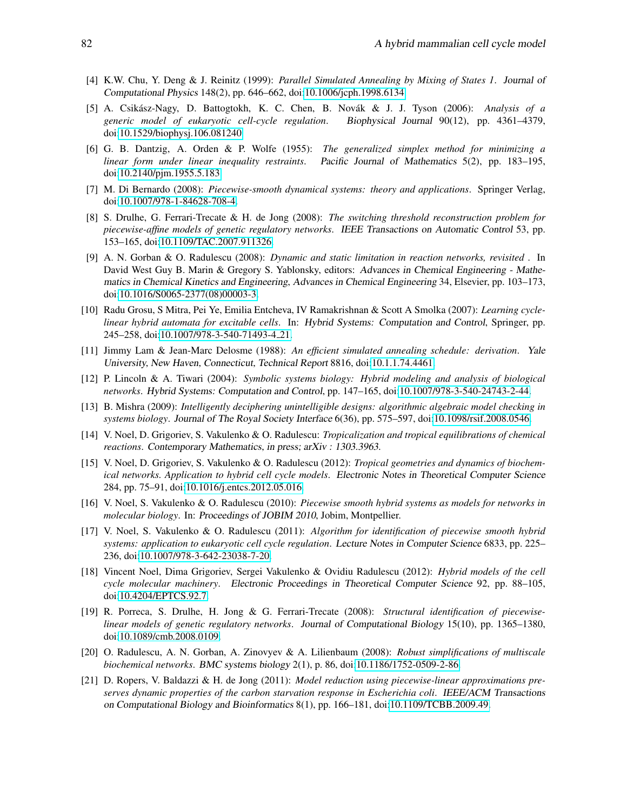- <span id="page-14-15"></span>[4] K.W. Chu, Y. Deng & J. Reinitz (1999): *Parallel Simulated Annealing by Mixing of States 1*. Journal of Computational Physics 148(2), pp. 646–662, doi[:10.1006/jcph.1998.6134.](http://dx.doi.org/10.1006/jcph.1998.6134)
- <span id="page-14-13"></span>[5] A. Csikász-Nagy, D. Battogtokh, K. C. Chen, B. Novák & J. J. Tyson (2006): Analysis of a *generic model of eukaryotic cell-cycle regulation*. Biophysical Journal 90(12), pp. 4361–4379, doi[:10.1529/biophysj.106.081240.](http://dx.doi.org/10.1529/biophysj.106.081240)
- <span id="page-14-16"></span>[6] G. B. Dantzig, A. Orden & P. Wolfe (1955): *The generalized simplex method for minimizing a linear form under linear inequality restraints*. Pacific Journal of Mathematics 5(2), pp. 183–195, doi[:10.2140/pjm.1955.5.183.](http://dx.doi.org/10.2140/pjm.1955.5.183)
- <span id="page-14-8"></span>[7] M. Di Bernardo (2008): *Piecewise-smooth dynamical systems: theory and applications*. Springer Verlag, doi[:10.1007/978-1-84628-708-4.](http://dx.doi.org/10.1007/978-1-84628-708-4)
- <span id="page-14-4"></span>[8] S. Drulhe, G. Ferrari-Trecate & H. de Jong (2008): *The switching threshold reconstruction problem for piecewise-affine models of genetic regulatory networks*. IEEE Transactions on Automatic Control 53, pp. 153–165, doi[:10.1109/TAC.2007.911326.](http://dx.doi.org/10.1109/TAC.2007.911326)
- <span id="page-14-10"></span>[9] A. N. Gorban & O. Radulescu (2008): *Dynamic and static limitation in reaction networks, revisited* . In David West Guy B. Marin & Gregory S. Yablonsky, editors: Advances in Chemical Engineering - Mathematics in Chemical Kinetics and Engineering, Advances in Chemical Engineering 34, Elsevier, pp. 103–173, doi[:10.1016/S0065-2377\(08\)00003-3.](http://dx.doi.org/10.1016/S0065-2377(08)00003-3)
- <span id="page-14-7"></span>[10] Radu Grosu, S Mitra, Pei Ye, Emilia Entcheva, IV Ramakrishnan & Scott A Smolka (2007): *Learning cyclelinear hybrid automata for excitable cells*. In: Hybrid Systems: Computation and Control, Springer, pp. 245–258, doi[:10.1007/978-3-540-71493-4](http://dx.doi.org/10.1007/978-3-540-71493-4_21) 21.
- <span id="page-14-14"></span>[11] Jimmy Lam & Jean-Marc Delosme (1988): *An efficient simulated annealing schedule: derivation*. Yale University, New Haven, Connecticut, Technical Report 8816, doi[:10.1.1.74.4461.](http://dx.doi.org/10.1.1.74.4461)
- <span id="page-14-0"></span>[12] P. Lincoln & A. Tiwari (2004): *Symbolic systems biology: Hybrid modeling and analysis of biological networks*. Hybrid Systems: Computation and Control, pp. 147–165, doi[:10.1007/978-3-540-24743-2-44.](http://dx.doi.org/10.1007/978-3-540-24743-2-44)
- <span id="page-14-1"></span>[13] B. Mishra (2009): *Intelligently deciphering unintelligible designs: algorithmic algebraic model checking in systems biology*. Journal of The Royal Society Interface 6(36), pp. 575–597, doi[:10.1098/rsif.2008.0546.](http://dx.doi.org/10.1098/rsif.2008.0546)
- <span id="page-14-11"></span>[14] V. Noel, D. Grigoriev, S. Vakulenko & O. Radulescu: *Tropicalization and tropical equilibrations of chemical reactions*. Contemporary Mathematics, in press; arXiv : 1303.3963.
- <span id="page-14-17"></span>[15] V. Noel, D. Grigoriev, S. Vakulenko & O. Radulescu (2012): *Tropical geometries and dynamics of biochemical networks. Application to hybrid cell cycle models*. Electronic Notes in Theoretical Computer Science 284, pp. 75–91, doi[:10.1016/j.entcs.2012.05.016.](http://dx.doi.org/10.1016/j.entcs.2012.05.016)
- <span id="page-14-5"></span>[16] V. Noel, S. Vakulenko & O. Radulescu (2010): *Piecewise smooth hybrid systems as models for networks in molecular biology*. In: Proceedings of JOBIM 2010, Jobim, Montpellier.
- <span id="page-14-6"></span>[17] V. Noel, S. Vakulenko & O. Radulescu (2011): *Algorithm for identification of piecewise smooth hybrid systems: application to eukaryotic cell cycle regulation*. Lecture Notes in Computer Science 6833, pp. 225– 236, doi[:10.1007/978-3-642-23038-7-20.](http://dx.doi.org/10.1007/978-3-642-23038-7-20)
- <span id="page-14-12"></span>[18] Vincent Noel, Dima Grigoriev, Sergei Vakulenko & Ovidiu Radulescu (2012): *Hybrid models of the cell cycle molecular machinery*. Electronic Proceedings in Theoretical Computer Science 92, pp. 88–105, doi[:10.4204/EPTCS.92.7.](http://dx.doi.org/10.4204/EPTCS.92.7)
- <span id="page-14-3"></span>[19] R. Porreca, S. Drulhe, H. Jong & G. Ferrari-Trecate (2008): *Structural identification of piecewiselinear models of genetic regulatory networks*. Journal of Computational Biology 15(10), pp. 1365–1380, doi[:10.1089/cmb.2008.0109.](http://dx.doi.org/10.1089/cmb.2008.0109)
- <span id="page-14-9"></span>[20] O. Radulescu, A. N. Gorban, A. Zinovyev & A. Lilienbaum (2008): *Robust simplifications of multiscale biochemical networks*. BMC systems biology 2(1), p. 86, doi[:10.1186/1752-0509-2-86.](http://dx.doi.org/10.1186/1752-0509-2-86)
- <span id="page-14-2"></span>[21] D. Ropers, V. Baldazzi & H. de Jong (2011): *Model reduction using piecewise-linear approximations preserves dynamic properties of the carbon starvation response in Escherichia coli*. IEEE/ACM Transactions on Computational Biology and Bioinformatics 8(1), pp. 166–181, doi[:10.1109/TCBB.2009.49.](http://dx.doi.org/10.1109/TCBB.2009.49)